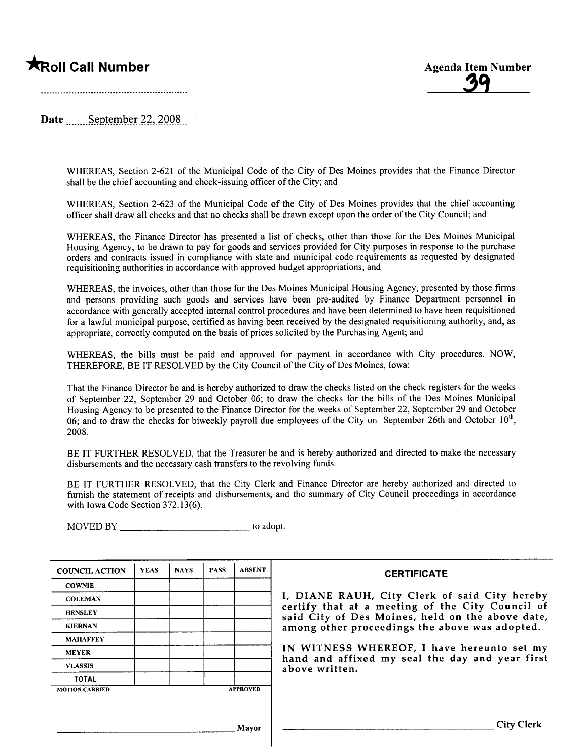## **Example 19 All Seconds 2008** Agenda Item Number Agenda Item Number

3'l

Date September  $22,2008$ 

WHEREAS, Section 2-621 of the Municipal Code of the City of Des Moines provides that the Finance Director shall be the chief accounting and check-issuing officer of the City; and

WHEREAS, Section 2-623 of the Municipal Code of the City of Des Moines provides that the chief accounting offcer shall draw all checks and that no checks shall be drawn except upon the order of the City Council; and

WHEREAS, the Finance Director has presented a list of checks, other than those for the Des Moines Municipal Housing Agency, to be drawn to pay for goods and services provided for City purposes in response to the purchase orders and contracts issued in compliance with state and municipal code requirements as requested by designated requisitioning authorities in accordance with approved budget appropriations; and

WHEREAS, the invoices, other than those for the Des Moines Municipal Housing Agency, presented by those firms and persons providing such goods and services have been pre-audited by Finance Department personnel in accordance with generally accepted internal control procedures and have been determined to have been requisitioned for a lawful municipal purose, certified as having been received by the designated requisitioning authority, and, as appropriate, correctly computed on the basis of prices solicited by the Purchasing Agent; and

WHEREAS, the bils must be paid and approved for payment in accordance with City procedures. NOW, THEREFORE, BE IT RESOLVED by the City Council of the City of Des Moines, Iowa:

That the Finance Director be and is hereby authorized to draw the checks listed on the check registers for the weeks of September 22, September 29 and October 06; to draw the checks for the bils of the Des Moines Municipal Housing Agency to be presented to the Finance Director for the weeks of September 22, September 29 and October 06; and to draw the checks for biweekly payroll due employees of the City on September 26th and October  $10<sup>th</sup>$ , 2008.

BE IT FURTHER RESOLVED, that the Treasurer be and is hereby authorized and directed to make the necessary disbursements and the necessary cash transfers to the revolving funds.

BE IT FURTHER RESOLVED, that the City Clerk and Finance Director are hereby authorized and directed to furnish the statement of receipts and disbursements, and the summary of City Council proceedings in accordance with Iowa Code Section 372.13(6).

MOVED BY \_\_\_\_\_\_\_\_\_\_\_\_\_\_\_\_\_\_\_\_\_\_\_\_\_\_\_\_\_\_\_\_\_\_ to adopt.

| <b>COUNCIL ACTION</b> | <b>YEAS</b> | <b>NAYS</b> | <b>PASS</b> | <b>ABSENT</b>   | <b>CERTIFICATE</b>                                                                                   |
|-----------------------|-------------|-------------|-------------|-----------------|------------------------------------------------------------------------------------------------------|
| <b>COWNIE</b>         |             |             |             |                 |                                                                                                      |
| <b>COLEMAN</b>        |             |             |             |                 | I, DIANE RAUH, City Clerk of said City hereby                                                        |
| <b>HENSLEY</b>        |             |             |             |                 | certify that at a meeting of the City Council of<br>said City of Des Moines, held on the above date, |
| <b>KIERNAN</b>        |             |             |             |                 | among other proceedings the above was adopted.                                                       |
| <b>MAHAFFEY</b>       |             |             |             |                 |                                                                                                      |
| <b>MEYER</b>          |             |             |             |                 | IN WITNESS WHEREOF, I have hereunto set my<br>hand and affixed my seal the day and year first        |
| <b>VLASSIS</b>        |             |             |             |                 | above written.                                                                                       |
| <b>TOTAL</b>          |             |             |             |                 |                                                                                                      |
| <b>MOTION CARRIED</b> |             |             |             | <b>APPROVED</b> |                                                                                                      |
|                       |             |             |             |                 |                                                                                                      |
|                       |             |             |             | Mayor           | City Clerk                                                                                           |
|                       |             |             |             |                 |                                                                                                      |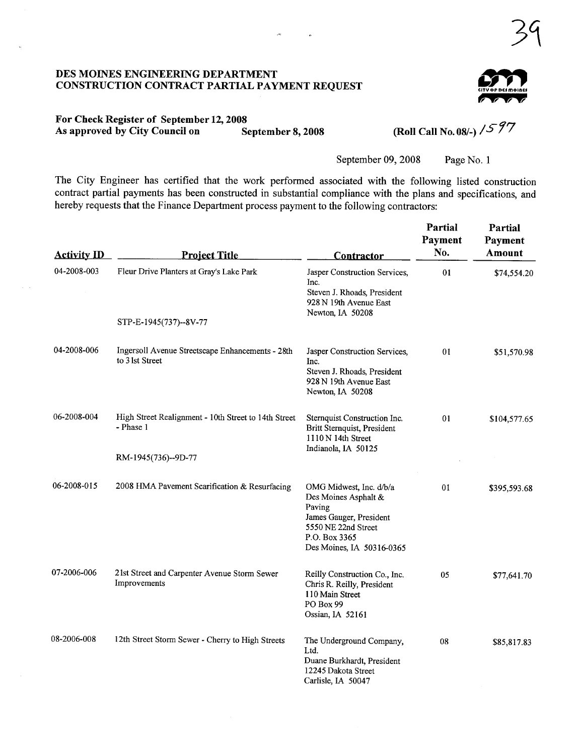### DES MOINES ENGINEERING DEPARTMENT CONSTRUCTION CONTRACT PARTIAL PAYMENT REQUEST



 $39$ 

# For Check Register of September 12, 2008<br>As approved by City Council on September 2014

 $\bar{\mathcal{M}}$ 

 $\overline{a}$ 

 $\widetilde{\mathcal{S}}$  September 8, 2008 (Roll Call No. 08/-) / $\mathcal{S}$  97

September 09, 2008 Page No. 1

The City Engineer has certified that the work performed associated with the following listed construction contract partial payments has been constructed in substantial compliance with the plans and specifications, and hereby requests that the Finance Department process payment to the following contractors:

| <b>Activity ID</b> | <b>Project Title</b>                                                                     | <b>Contractor</b>                                                                                                                                         | Partial<br>Payment<br>No. | Partial<br><b>Payment</b><br><b>Amount</b> |
|--------------------|------------------------------------------------------------------------------------------|-----------------------------------------------------------------------------------------------------------------------------------------------------------|---------------------------|--------------------------------------------|
| 04-2008-003        | Fleur Drive Planters at Gray's Lake Park                                                 | Jasper Construction Services,<br>Inc.<br>Steven J. Rhoads, President<br>928 N 19th Avenue East<br>Newton, IA 50208                                        | 01                        | \$74,554.20                                |
|                    | STP-E-1945(737)--8V-77                                                                   |                                                                                                                                                           |                           |                                            |
| 04-2008-006        | Ingersoll Avenue Streetscape Enhancements - 28th<br>to 3 lst Street                      | Jasper Construction Services,<br>Inc.<br>Steven J. Rhoads, President<br>928 N 19th Avenue East<br>Newton, IA 50208                                        | 01                        | \$51,570.98                                |
| 06-2008-004        | High Street Realignment - 10th Street to 14th Street<br>- Phase 1<br>RM-1945(736)--9D-77 | Sternquist Construction Inc.<br>Britt Sternquist, President<br>$1110 N$ 14th Street<br>Indianola, IA 50125                                                | 01                        | \$104,577.65                               |
| 06-2008-015        | 2008 HMA Pavement Scarification & Resurfacing                                            | OMG Midwest, Inc. d/b/a<br>Des Moines Asphalt &<br>Paving<br>James Gauger, President<br>5550 NE 22nd Street<br>P.O. Box 3365<br>Des Moines, IA 50316-0365 | 01                        | \$395,593.68                               |
| 07-2006-006        | 21st Street and Carpenter Avenue Storm Sewer<br>Improvements                             | Reilly Construction Co., Inc.<br>Chris R. Reilly, President<br>110 Main Street<br>PO Box 99<br>Ossian, IA 52161                                           | 05                        | \$77,641.70                                |
| 08-2006-008        | 12th Street Storm Sewer - Cherry to High Streets                                         | The Underground Company,<br>Ltd.<br>Duane Burkhardt, President<br>12245 Dakota Street<br>Carlisle, IA 50047                                               | 08                        | \$85,817.83                                |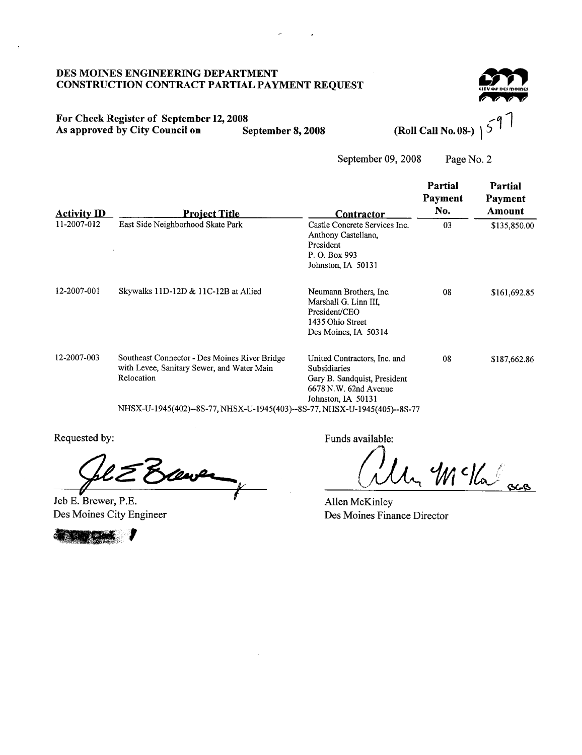### DES MOINES ENGINEERING DEPARTMENT **CONSTRUCTION CONTRACT PARTIAL PAYMENT REQUEST**

### For Check Register of September 12, 2008 As approved by City Council on September 8, 2008

(Roll Call No. 08-)

September 09, 2008 Page No. 2

| <b>Activity ID</b> | <b>Project Title</b>                                                                                      | Contractor                                                                                                                  | Partial<br>Payment<br>No. | Partial<br>Payment<br>Amount |
|--------------------|-----------------------------------------------------------------------------------------------------------|-----------------------------------------------------------------------------------------------------------------------------|---------------------------|------------------------------|
| 11-2007-012        | East Side Neighborhood Skate Park                                                                         | Castle Concrete Services Inc.<br>Anthony Castellano,<br>President<br>P. O. Box 993<br>Johnston, IA 50131                    | 03                        | \$135,850.00                 |
| 12-2007-001        | Skywalks 11D-12D & 11C-12B at Allied                                                                      | Neumann Brothers, Inc.<br>Marshall G. Linn III.<br>President/CEO<br>1435 Ohio Street<br>Des Moines, IA 50314                | 08                        | \$161,692.85                 |
| 12-2007-003        | Southeast Connector - Des Moines River Bridge<br>with Levee, Sanitary Sewer, and Water Main<br>Relocation | United Contractors, Inc. and<br>Subsidiaries<br>Gary B. Sandquist, President<br>6678 N.W. 62nd Avenue<br>Johnston, IA 50131 | 08                        | \$187,662.86                 |
|                    | NHSX-U-1945(402)--8S-77, NHSX-U-1945(403)--8S-77, NHSX-U-1945(405)--8S-77                                 |                                                                                                                             |                           |                              |

Requested by:

Jeb E. Brewer, P.E. Des Moines City Engineer



Funds available:

1 Mckalas

Allen McKinley Des Moines Finance Director